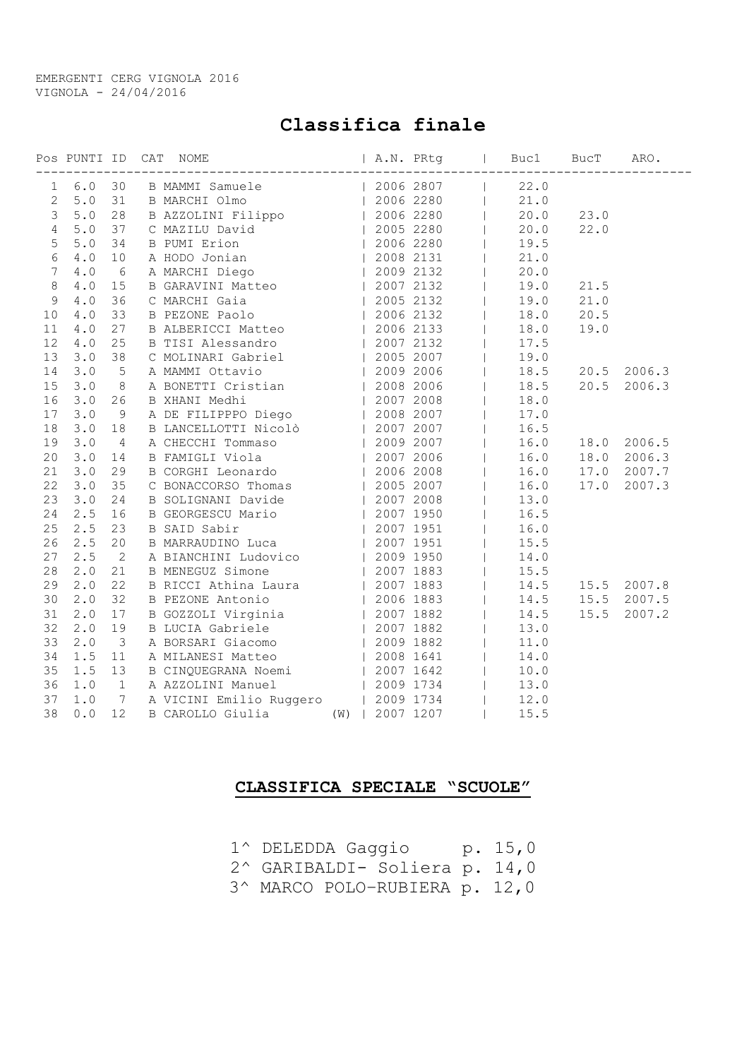EMERGENTI CERG VIGNOLA 2016 VIGNOLA - 24/04/2016

## Classifica finale

|                  |                       |                 |                                                                                                                                                                                                                                                |           | $\sim 10^{-11}$ |      | Buc1 BucT | ARO.<br>---------------------------------- |
|------------------|-----------------------|-----------------|------------------------------------------------------------------------------------------------------------------------------------------------------------------------------------------------------------------------------------------------|-----------|-----------------|------|-----------|--------------------------------------------|
| 1                | $6.0$                 | 30              | B MAMMI Samuele (2006 2807)<br>B MAMMI Samuele (2006 2807)<br>B AZZOLINI Filippo (2006 2280)<br>C MAZILU David (2005 2280)<br>B PUMI Erion (2005 2280)<br>A HODO Jonian (2006 2280)<br>A MARCHI Diego (2008 2131)<br>B GARAVINI Matteo (2009   |           |                 | 22.0 |           |                                            |
| $\overline{2}$   | 5.0                   | 31              |                                                                                                                                                                                                                                                |           |                 | 21.0 |           |                                            |
| 3                | $5.0$                 | 28              |                                                                                                                                                                                                                                                |           |                 | 20.0 | 23.0      |                                            |
| $\overline{4}$   | $5.0$                 | 37              |                                                                                                                                                                                                                                                |           |                 | 20.0 | 22.0      |                                            |
| 5                | 5.0                   | 34              |                                                                                                                                                                                                                                                |           |                 | 19.5 |           |                                            |
| 6                | 4.0                   | 10              |                                                                                                                                                                                                                                                |           |                 | 21.0 |           |                                            |
| $\boldsymbol{7}$ | 4.0                   | 6               |                                                                                                                                                                                                                                                |           |                 | 20.0 |           |                                            |
| 8                | $4.0$                 | 15              |                                                                                                                                                                                                                                                |           |                 | 19.0 | 21.5      |                                            |
| 9                | 4.0                   | 36              |                                                                                                                                                                                                                                                |           |                 | 19.0 | 21.0      |                                            |
| 10               | $4.0$                 | 33              |                                                                                                                                                                                                                                                |           |                 | 18.0 | 20.5      |                                            |
| 11               | 4.0                   | 27              |                                                                                                                                                                                                                                                |           |                 | 18.0 | 19.0      |                                            |
| 12               | $4\ .\ 0$             | 25              | B TISI Alessandro (2007 2132)                                                                                                                                                                                                                  |           |                 | 17.5 |           |                                            |
| 13               | 3.0                   | 38              | C MOLINARI Gabriel (2005 2007)<br>A MAMMI Ottavio (2009 2006)<br>A BONETTI Cristian (2009 2006)<br>B XHANI Medhi (2007 2008)<br>A DE FILIPPPO Diego (2008 2007)                                                                                |           |                 | 19.0 |           |                                            |
| 14               | 3.0                   | 5               |                                                                                                                                                                                                                                                |           |                 | 18.5 | 20.5      | 2006.3                                     |
| 15               | 3.0                   | $8\,$           |                                                                                                                                                                                                                                                |           |                 | 18.5 | 20.5      | 2006.3                                     |
| 16               | 3.0                   | 26              |                                                                                                                                                                                                                                                |           |                 | 18.0 |           |                                            |
| 17               | 3.0                   | 9               |                                                                                                                                                                                                                                                |           |                 | 17.0 |           |                                            |
| 18               | 3.0                   | 18              | B LANCELLOTTI Nicolò   2007 2007                                                                                                                                                                                                               |           |                 | 16.5 |           |                                            |
| 19               | 3.0                   | $\overline{4}$  | A CHECCHI Tommaso   2009 2007                                                                                                                                                                                                                  |           |                 | 16.0 | 18.0      | 2006.5                                     |
| 20               | 3.0                   | 14              | B FAMIGLI Viola<br>B FAMIGLI Viola<br>CORGHI Leonardo   2007 2006<br>C BONACCORSO Thomas   2005 2007<br>B SOLIGNANI Davide   2007 2008<br>B GEORGESCU Mario   2007 1950<br>B SAID Sabir   2007 1951<br>B MARRAUDINO Luca   2007 1951<br>B MARR |           |                 | 16.0 | 18.0      | 2006.3                                     |
| 21               | 3.0                   | 29              |                                                                                                                                                                                                                                                |           |                 | 16.0 | 17.0      | 2007.7                                     |
| 22               | 3.0                   | 35              |                                                                                                                                                                                                                                                |           |                 | 16.0 | 17.0      | 2007.3                                     |
| 23               | 3.0                   | 24              |                                                                                                                                                                                                                                                |           |                 | 13.0 |           |                                            |
| 24               | 2.5                   | 16              |                                                                                                                                                                                                                                                |           |                 | 16.5 |           |                                            |
| 25               | 2.5                   | 23              |                                                                                                                                                                                                                                                |           |                 | 16.0 |           |                                            |
| 26               | 2.5                   | 20              |                                                                                                                                                                                                                                                |           |                 | 15.5 |           |                                            |
| 27               | 2.5                   | $\overline{2}$  | A BIANCHINI Ludovico   2009 1950                                                                                                                                                                                                               |           |                 | 14.0 |           |                                            |
| 28               | 2.0                   | 21              | B MENEGUZ Simone                                                                                                                                                                                                                               | 2007 1883 |                 | 15.5 |           |                                            |
| 29               | 2.0                   | 22              | B RICCI Athina Laura (2007 1883<br>B PEZONE Antonio (2006 1883<br>B GOZZOLI Virginia (2007 1882<br>B LUCIA Gabriele (2007 1882)                                                                                                                |           |                 | 14.5 |           | 15.5 2007.8                                |
| 30               | 2.0                   | 32              |                                                                                                                                                                                                                                                |           |                 | 14.5 | 15.5      | 2007.5                                     |
| 31               | 2.0                   | 17              |                                                                                                                                                                                                                                                |           |                 | 14.5 | 15.5      | 2007.2                                     |
| 32               | 2.0                   | 19              |                                                                                                                                                                                                                                                |           |                 | 13.0 |           |                                            |
| 33               | 2.0                   | $\mathcal{S}$   | A BORSARI Giacomo (2009 1882)                                                                                                                                                                                                                  |           |                 | 11.0 |           |                                            |
| 34               | 1.5                   | 11              | A MILANESI Matteo   2008 1641                                                                                                                                                                                                                  |           |                 | 14.0 |           |                                            |
| 35               | 1.5                   | 13              | B CINQUEGRANA Noemi   2007 1642                                                                                                                                                                                                                |           |                 | 10.0 |           |                                            |
| 36               | 1.0                   | $\mathbf{1}$    |                                                                                                                                                                                                                                                |           |                 | 13.0 |           |                                            |
| 37               | 1.0                   | $7\phantom{.0}$ | A AZZOLINI Manuel (2009 1734<br>A VICINI Emilio Ruggero (2009 1734                                                                                                                                                                             |           |                 | 12.0 |           |                                            |
| 38               | ${\bf 0}$ . ${\bf 0}$ | 12              | B CAROLLO Giulia (W)   2007 1207                                                                                                                                                                                                               |           |                 | 15.5 |           |                                            |

## CLASSIFICA SPECIALE "SCUOLE"

- 1^ DELEDDA Gaggio p. 15,0 2^ GARIBALDI- Soliera p. 14,0
- 
- 3^ MARCO POLO–RUBIERA p. 12,0